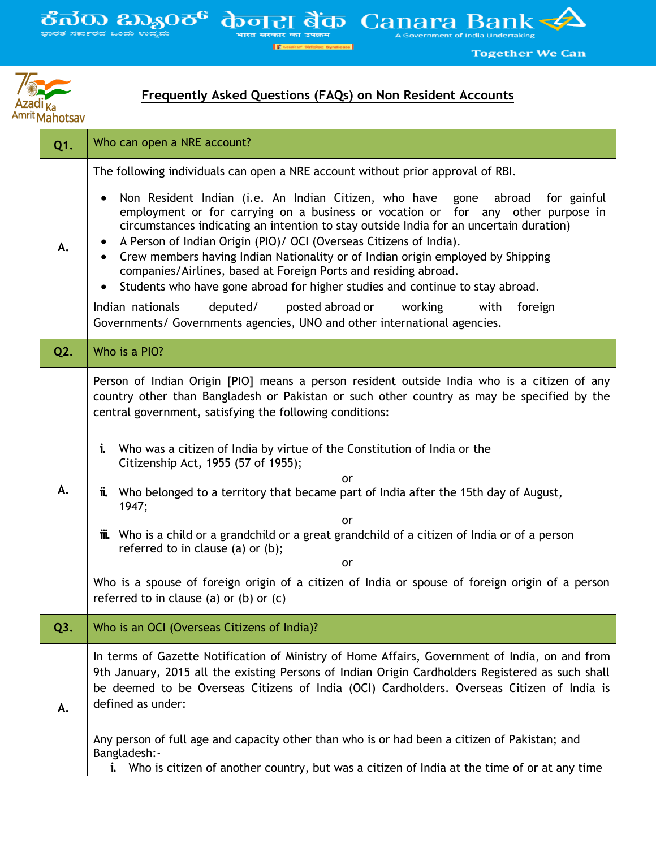$\frac{2}{3}$   $\frac{1}{3}$   $\frac{1}{3}$   $\frac{1}{3}$   $\frac{1}{3}$   $\frac{1}{3}$   $\frac{1}{3}$   $\frac{1}{3}$   $\frac{1}{3}$   $\frac{1}{3}$   $\frac{1}{3}$   $\frac{1}{3}$   $\frac{1}{3}$   $\frac{1}{3}$   $\frac{1}{3}$   $\frac{1}{3}$   $\frac{1}{3}$   $\frac{1}{3}$   $\frac{1}{3}$   $\frac{1}{3}$   $\frac{1}{3}$   $\frac{1}{3}$ 

 $\frac{1}{\sqrt{100}} \sum_{\text{interacting}} \frac{1}{\sqrt{100}}$  Canara Bank **E** sold



## **Frequently Asked Questions (FAQs) on Non Resident Accounts**

**Together We Can** 

| Q1.              | Who can open a NRE account?                                                                                                                                                                                                                                                                                                                                                                                                                                                                                                                                                                                                                                                                                                                                                                                                                                               |
|------------------|---------------------------------------------------------------------------------------------------------------------------------------------------------------------------------------------------------------------------------------------------------------------------------------------------------------------------------------------------------------------------------------------------------------------------------------------------------------------------------------------------------------------------------------------------------------------------------------------------------------------------------------------------------------------------------------------------------------------------------------------------------------------------------------------------------------------------------------------------------------------------|
| А.               | The following individuals can open a NRE account without prior approval of RBI.<br>Non Resident Indian (i.e. An Indian Citizen, who have<br>gone<br>abroad<br>for gainful<br>$\bullet$<br>employment or for carrying on a business or vocation or for any other purpose in<br>circumstances indicating an intention to stay outside India for an uncertain duration)<br>A Person of Indian Origin (PIO)/ OCI (Overseas Citizens of India).<br>Crew members having Indian Nationality or of Indian origin employed by Shipping<br>$\bullet$<br>companies/Airlines, based at Foreign Ports and residing abroad.<br>Students who have gone abroad for higher studies and continue to stay abroad.<br>$\bullet$<br>Indian nationals<br>deputed/<br>posted abroad or<br>working<br>with<br>foreign<br>Governments/ Governments agencies, UNO and other international agencies. |
| Q2.              | Who is a PIO?                                                                                                                                                                                                                                                                                                                                                                                                                                                                                                                                                                                                                                                                                                                                                                                                                                                             |
| А.               | Person of Indian Origin [PIO] means a person resident outside India who is a citizen of any<br>country other than Bangladesh or Pakistan or such other country as may be specified by the<br>central government, satisfying the following conditions:<br>i.<br>Who was a citizen of India by virtue of the Constitution of India or the<br>Citizenship Act, 1955 (57 of 1955);<br>or<br>ï.<br>Who belonged to a territory that became part of India after the 15th day of August,<br>1947;<br>or<br><b>iii.</b> Who is a child or a grandchild or a great grandchild of a citizen of India or of a person<br>referred to in clause (a) or (b);<br>or<br>Who is a spouse of foreign origin of a citizen of India or spouse of foreign origin of a person<br>referred to in clause (a) or (b) or $(c)$                                                                      |
| Q <sub>3</sub> . | Who is an OCI (Overseas Citizens of India)?                                                                                                                                                                                                                                                                                                                                                                                                                                                                                                                                                                                                                                                                                                                                                                                                                               |
| Α.               | In terms of Gazette Notification of Ministry of Home Affairs, Government of India, on and from<br>9th January, 2015 all the existing Persons of Indian Origin Cardholders Registered as such shall<br>be deemed to be Overseas Citizens of India (OCI) Cardholders. Overseas Citizen of India is<br>defined as under:<br>Any person of full age and capacity other than who is or had been a citizen of Pakistan; and<br>Bangladesh:-<br>i. Who is citizen of another country, but was a citizen of India at the time of or at any time                                                                                                                                                                                                                                                                                                                                   |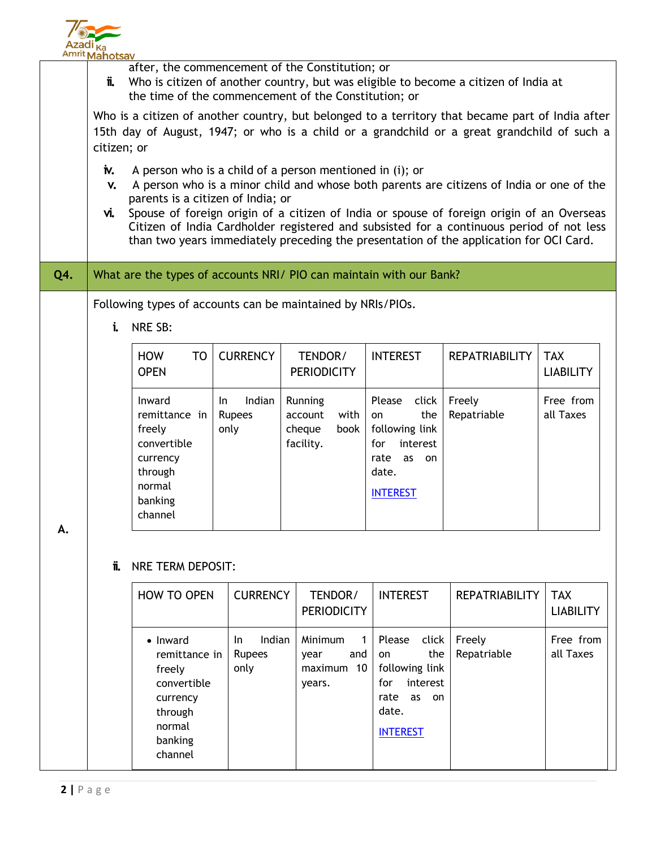

|     | <b>AUTRO MANDESAY</b> |                                                                                                                                                                                                                                                                                                                                                                                                                                                                              |                                 |  |                                                           |                                                                                                                   |                       |                                |  |  |  |
|-----|-----------------------|------------------------------------------------------------------------------------------------------------------------------------------------------------------------------------------------------------------------------------------------------------------------------------------------------------------------------------------------------------------------------------------------------------------------------------------------------------------------------|---------------------------------|--|-----------------------------------------------------------|-------------------------------------------------------------------------------------------------------------------|-----------------------|--------------------------------|--|--|--|
|     | Ï.                    | after, the commencement of the Constitution; or<br>Who is citizen of another country, but was eligible to become a citizen of India at<br>the time of the commencement of the Constitution; or                                                                                                                                                                                                                                                                               |                                 |  |                                                           |                                                                                                                   |                       |                                |  |  |  |
|     |                       | Who is a citizen of another country, but belonged to a territory that became part of India after<br>15th day of August, 1947; or who is a child or a grandchild or a great grandchild of such a<br>citizen; or                                                                                                                                                                                                                                                               |                                 |  |                                                           |                                                                                                                   |                       |                                |  |  |  |
|     | iv.<br>V.<br>vi.      | A person who is a child of a person mentioned in (i); or<br>A person who is a minor child and whose both parents are citizens of India or one of the<br>parents is a citizen of India; or<br>Spouse of foreign origin of a citizen of India or spouse of foreign origin of an Overseas<br>Citizen of India Cardholder registered and subsisted for a continuous period of not less<br>than two years immediately preceding the presentation of the application for OCI Card. |                                 |  |                                                           |                                                                                                                   |                       |                                |  |  |  |
| Q4. |                       | What are the types of accounts NRI/ PIO can maintain with our Bank?                                                                                                                                                                                                                                                                                                                                                                                                          |                                 |  |                                                           |                                                                                                                   |                       |                                |  |  |  |
|     | i.                    | Following types of accounts can be maintained by NRIs/PIOs.<br>NRE SB:                                                                                                                                                                                                                                                                                                                                                                                                       |                                 |  |                                                           |                                                                                                                   |                       |                                |  |  |  |
|     |                       | <b>HOW</b><br>TO<br><b>OPEN</b>                                                                                                                                                                                                                                                                                                                                                                                                                                              | <b>CURRENCY</b>                 |  | TENDOR/<br><b>PERIODICITY</b>                             | <b>INTEREST</b>                                                                                                   | <b>REPATRIABILITY</b> | <b>TAX</b><br><b>LIABILITY</b> |  |  |  |
| Α.  |                       | Inward<br>remittance in<br>freely<br>convertible<br>currency<br>through<br>normal<br>banking<br>channel                                                                                                                                                                                                                                                                                                                                                                      | Indian<br>In.<br>Rupees<br>only |  | Running<br>with<br>account<br>cheque<br>book<br>facility. | Please<br>click<br>the<br>on<br>following link<br>for<br>interest<br>rate as on<br>date.<br><b>INTEREST</b>       | Freely<br>Repatriable | Free from<br>all Taxes         |  |  |  |
|     | ï.                    | NRE TERM DEPOSIT:                                                                                                                                                                                                                                                                                                                                                                                                                                                            |                                 |  |                                                           |                                                                                                                   |                       |                                |  |  |  |
|     |                       | <b>HOW TO OPEN</b>                                                                                                                                                                                                                                                                                                                                                                                                                                                           | <b>CURRENCY</b>                 |  | TENDOR/<br><b>PERIODICITY</b>                             | <b>INTEREST</b>                                                                                                   | <b>REPATRIABILITY</b> | <b>TAX</b><br><b>LIABILITY</b> |  |  |  |
|     |                       | • Inward<br>remittance in<br>freely<br>convertible<br>currency<br>through<br>normal<br>banking<br>channel                                                                                                                                                                                                                                                                                                                                                                    | Indian<br>In.<br>Rupees<br>only |  | Minimum<br>1<br>year<br>and<br>maximum 10<br>years.       | Please<br>click<br>the<br>on<br>following link<br>interest<br>for<br>rate<br>as<br>on<br>date.<br><b>INTEREST</b> | Freely<br>Repatriable | Free from<br>all Taxes         |  |  |  |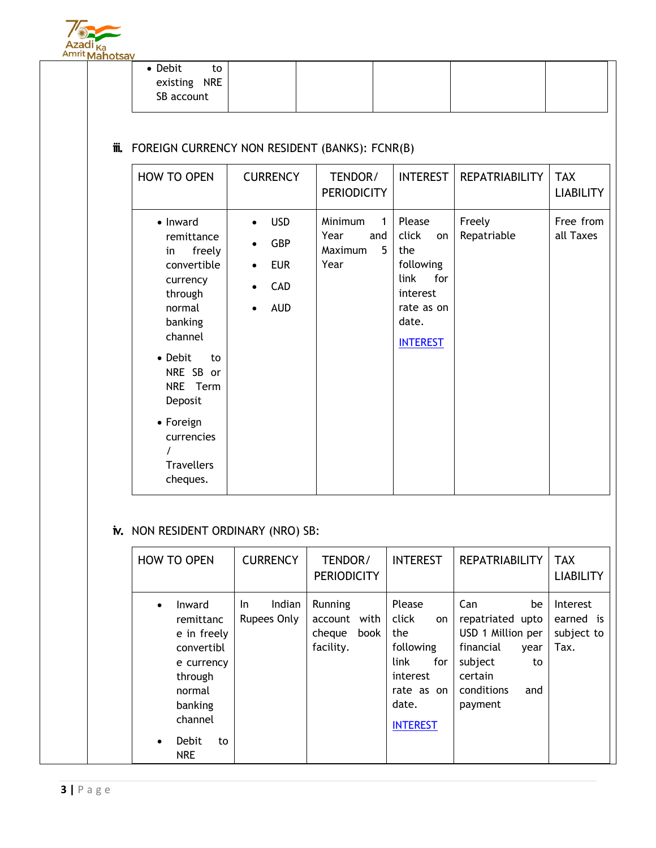

| • Debit<br>to |  |  |  |
|---------------|--|--|--|
| existing NRE  |  |  |  |
| SB account    |  |  |  |
|               |  |  |  |

## **iii.** FOREIGN CURRENCY NON RESIDENT (BANKS): FCNR(B)

| <b>HOW TO OPEN</b>                                                                                                                                                                                                            | <b>CURRENCY</b>                                                                                                 | TENDOR/<br><b>PERIODICITY</b>                       | <b>INTEREST</b>                                                                                                | <b>REPATRIABILITY</b> | <b>TAX</b><br><b>LIABILITY</b> |
|-------------------------------------------------------------------------------------------------------------------------------------------------------------------------------------------------------------------------------|-----------------------------------------------------------------------------------------------------------------|-----------------------------------------------------|----------------------------------------------------------------------------------------------------------------|-----------------------|--------------------------------|
| • Inward<br>remittance<br>freely<br>in<br>convertible<br>currency<br>through<br>normal<br>banking<br>channel<br>• Debit<br>to<br>NRE SB or<br>NRE Term<br>Deposit<br>• Foreign<br>currencies<br><b>Travellers</b><br>cheques. | <b>USD</b><br>$\bullet$<br><b>GBP</b><br>$\bullet$<br><b>EUR</b><br>$\bullet$<br>CAD<br>$\bullet$<br><b>AUD</b> | Minimum<br>1<br>Year<br>and<br>5<br>Maximum<br>Year | Please<br>click<br>on<br>the<br>following<br>for<br>link<br>interest<br>rate as on<br>date.<br><b>INTEREST</b> | Freely<br>Repatriable | Free from<br>all Taxes         |

## **iv.** NON RESIDENT ORDINARY (NRO) SB:

|                        | <b>HOW TO OPEN</b>                                                                                                                     |     | <b>CURRENCY</b>       | TENDOR/<br><b>PERIODICITY</b>                  |      | <b>INTEREST</b>                                                                                   |                  | <b>REPATRIABILITY</b>                                                                                    |                         | <b>TAX</b><br><b>LIABILITY</b>                     |
|------------------------|----------------------------------------------------------------------------------------------------------------------------------------|-----|-----------------------|------------------------------------------------|------|---------------------------------------------------------------------------------------------------|------------------|----------------------------------------------------------------------------------------------------------|-------------------------|----------------------------------------------------|
| $\bullet$<br>$\bullet$ | Inward<br>remittanc<br>e in freely<br>convertibl<br>e currency<br>through<br>normal<br>banking<br>channel<br>Debit<br>to<br><b>NRE</b> | In. | Indian<br>Rupees Only | Running<br>account with<br>cheque<br>facility. | book | Please<br>click<br>the<br>following<br>link<br>interest<br>rate as on<br>date.<br><b>INTEREST</b> | <b>on</b><br>for | Can<br>repatriated upto<br>USD 1 Million per<br>financial<br>subject<br>certain<br>conditions<br>payment | be<br>year<br>to<br>and | <b>Interest</b><br>earned is<br>subject to<br>Tax. |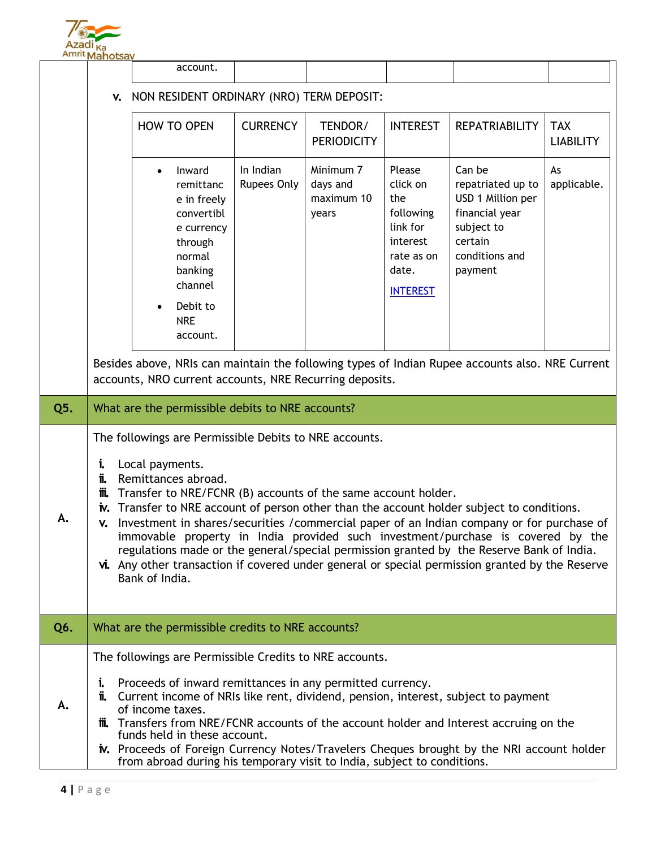

|     | Amrit Mahotsay                                                                                                                                                                                                                                                                                                                                                                                                                                                                                                                                                                                                                                                                              |                                                                                                                                                              |                          |                                              |                                                                                                          |                                                                                                                          |                                |  |
|-----|---------------------------------------------------------------------------------------------------------------------------------------------------------------------------------------------------------------------------------------------------------------------------------------------------------------------------------------------------------------------------------------------------------------------------------------------------------------------------------------------------------------------------------------------------------------------------------------------------------------------------------------------------------------------------------------------|--------------------------------------------------------------------------------------------------------------------------------------------------------------|--------------------------|----------------------------------------------|----------------------------------------------------------------------------------------------------------|--------------------------------------------------------------------------------------------------------------------------|--------------------------------|--|
|     |                                                                                                                                                                                                                                                                                                                                                                                                                                                                                                                                                                                                                                                                                             | account.                                                                                                                                                     |                          |                                              |                                                                                                          |                                                                                                                          |                                |  |
|     | NON RESIDENT ORDINARY (NRO) TERM DEPOSIT:<br>V.                                                                                                                                                                                                                                                                                                                                                                                                                                                                                                                                                                                                                                             |                                                                                                                                                              |                          |                                              |                                                                                                          |                                                                                                                          |                                |  |
|     |                                                                                                                                                                                                                                                                                                                                                                                                                                                                                                                                                                                                                                                                                             | <b>HOW TO OPEN</b>                                                                                                                                           | <b>CURRENCY</b>          | TENDOR/<br><b>PERIODICITY</b>                | <b>INTEREST</b>                                                                                          | <b>REPATRIABILITY</b>                                                                                                    | <b>TAX</b><br><b>LIABILITY</b> |  |
|     |                                                                                                                                                                                                                                                                                                                                                                                                                                                                                                                                                                                                                                                                                             | Inward<br>$\bullet$<br>remittanc<br>e in freely<br>convertibl<br>e currency<br>through<br>normal<br>banking<br>channel<br>Debit to<br><b>NRE</b><br>account. | In Indian<br>Rupees Only | Minimum 7<br>days and<br>maximum 10<br>years | Please<br>click on<br>the<br>following<br>link for<br>interest<br>rate as on<br>date.<br><b>INTEREST</b> | Can be<br>repatriated up to<br>USD 1 Million per<br>financial year<br>subject to<br>certain<br>conditions and<br>payment | As<br>applicable.              |  |
|     |                                                                                                                                                                                                                                                                                                                                                                                                                                                                                                                                                                                                                                                                                             | Besides above, NRIs can maintain the following types of Indian Rupee accounts also. NRE Current<br>accounts, NRO current accounts, NRE Recurring deposits.   |                          |                                              |                                                                                                          |                                                                                                                          |                                |  |
| Q5. |                                                                                                                                                                                                                                                                                                                                                                                                                                                                                                                                                                                                                                                                                             | What are the permissible debits to NRE accounts?                                                                                                             |                          |                                              |                                                                                                          |                                                                                                                          |                                |  |
| А.  | The followings are Permissible Debits to NRE accounts.<br>Local payments.<br>i.<br>Remittances abroad.<br>ï.<br>Transfer to NRE/FCNR (B) accounts of the same account holder.<br>M.<br>Transfer to NRE account of person other than the account holder subject to conditions.<br>İV.<br>Investment in shares/securities /commercial paper of an Indian company or for purchase of<br>v.<br>immovable property in India provided such investment/purchase is covered by the<br>regulations made or the general/special permission granted by the Reserve Bank of India.<br>vi. Any other transaction if covered under general or special permission granted by the Reserve<br>Bank of India. |                                                                                                                                                              |                          |                                              |                                                                                                          |                                                                                                                          |                                |  |
| Q6. |                                                                                                                                                                                                                                                                                                                                                                                                                                                                                                                                                                                                                                                                                             | What are the permissible credits to NRE accounts?                                                                                                            |                          |                                              |                                                                                                          |                                                                                                                          |                                |  |
| А.  | The followings are Permissible Credits to NRE accounts.<br>Proceeds of inward remittances in any permitted currency.<br>İ.<br>Current income of NRIs like rent, dividend, pension, interest, subject to payment<br>Ï.<br>of income taxes.<br>Transfers from NRE/FCNR accounts of the account holder and Interest accruing on the<br>m.<br>funds held in these account.<br>iv. Proceeds of Foreign Currency Notes/Travelers Cheques brought by the NRI account holder<br>from abroad during his temporary visit to India, subject to conditions.                                                                                                                                             |                                                                                                                                                              |                          |                                              |                                                                                                          |                                                                                                                          |                                |  |
|     |                                                                                                                                                                                                                                                                                                                                                                                                                                                                                                                                                                                                                                                                                             |                                                                                                                                                              |                          |                                              |                                                                                                          |                                                                                                                          |                                |  |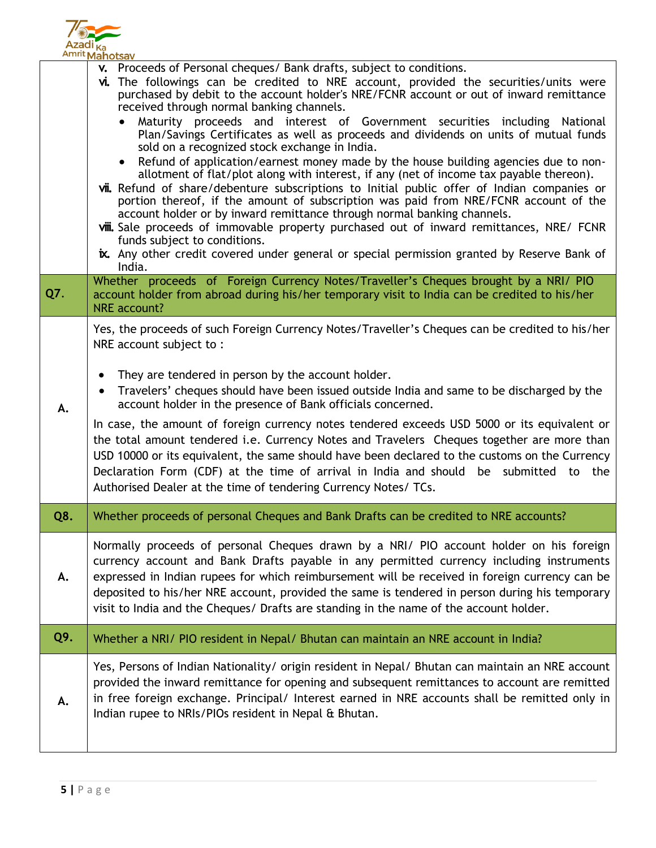

|     | <u>musik Manotsav</u>                                                                                                                                                                                                                                                                                                                                                                                                                                                                                                                                                                                                                                                                                                                                                                                                                                                                                                                                                                                                                                                                                                                                                                                                                           |
|-----|-------------------------------------------------------------------------------------------------------------------------------------------------------------------------------------------------------------------------------------------------------------------------------------------------------------------------------------------------------------------------------------------------------------------------------------------------------------------------------------------------------------------------------------------------------------------------------------------------------------------------------------------------------------------------------------------------------------------------------------------------------------------------------------------------------------------------------------------------------------------------------------------------------------------------------------------------------------------------------------------------------------------------------------------------------------------------------------------------------------------------------------------------------------------------------------------------------------------------------------------------|
|     | v. Proceeds of Personal cheques/ Bank drafts, subject to conditions.<br>vi. The followings can be credited to NRE account, provided the securities/units were<br>purchased by debit to the account holder's NRE/FCNR account or out of inward remittance<br>received through normal banking channels.<br>Maturity proceeds and interest of Government securities including National<br>$\bullet$<br>Plan/Savings Certificates as well as proceeds and dividends on units of mutual funds<br>sold on a recognized stock exchange in India.<br>Refund of application/earnest money made by the house building agencies due to non-<br>$\bullet$<br>allotment of flat/plot along with interest, if any (net of income tax payable thereon).<br>vii. Refund of share/debenture subscriptions to Initial public offer of Indian companies or<br>portion thereof, if the amount of subscription was paid from NRE/FCNR account of the<br>account holder or by inward remittance through normal banking channels.<br>viii. Sale proceeds of immovable property purchased out of inward remittances, NRE/ FCNR<br>funds subject to conditions.<br>ix. Any other credit covered under general or special permission granted by Reserve Bank of<br>India. |
| Q7. | Whether proceeds of Foreign Currency Notes/Traveller's Cheques brought by a NRI/ PIO<br>account holder from abroad during his/her temporary visit to India can be credited to his/her<br><b>NRE</b> account?                                                                                                                                                                                                                                                                                                                                                                                                                                                                                                                                                                                                                                                                                                                                                                                                                                                                                                                                                                                                                                    |
| А.  | Yes, the proceeds of such Foreign Currency Notes/Traveller's Cheques can be credited to his/her<br>NRE account subject to:<br>They are tendered in person by the account holder.<br>$\bullet$<br>Travelers' cheques should have been issued outside India and same to be discharged by the<br>$\bullet$<br>account holder in the presence of Bank officials concerned.<br>In case, the amount of foreign currency notes tendered exceeds USD 5000 or its equivalent or<br>the total amount tendered i.e. Currency Notes and Travelers Cheques together are more than<br>USD 10000 or its equivalent, the same should have been declared to the customs on the Currency<br>Declaration Form (CDF) at the time of arrival in India and should be submitted to the<br>Authorised Dealer at the time of tendering Currency Notes/ TCs.                                                                                                                                                                                                                                                                                                                                                                                                              |
| Q8. | Whether proceeds of personal Cheques and Bank Drafts can be credited to NRE accounts?                                                                                                                                                                                                                                                                                                                                                                                                                                                                                                                                                                                                                                                                                                                                                                                                                                                                                                                                                                                                                                                                                                                                                           |
| А.  | Normally proceeds of personal Cheques drawn by a NRI/ PIO account holder on his foreign<br>currency account and Bank Drafts payable in any permitted currency including instruments<br>expressed in Indian rupees for which reimbursement will be received in foreign currency can be<br>deposited to his/her NRE account, provided the same is tendered in person during his temporary<br>visit to India and the Cheques/ Drafts are standing in the name of the account holder.                                                                                                                                                                                                                                                                                                                                                                                                                                                                                                                                                                                                                                                                                                                                                               |
| Q9. | Whether a NRI/ PIO resident in Nepal/ Bhutan can maintain an NRE account in India?                                                                                                                                                                                                                                                                                                                                                                                                                                                                                                                                                                                                                                                                                                                                                                                                                                                                                                                                                                                                                                                                                                                                                              |
| А.  | Yes, Persons of Indian Nationality/ origin resident in Nepal/ Bhutan can maintain an NRE account<br>provided the inward remittance for opening and subsequent remittances to account are remitted<br>in free foreign exchange. Principal/ Interest earned in NRE accounts shall be remitted only in<br>Indian rupee to NRIs/PIOs resident in Nepal & Bhutan.                                                                                                                                                                                                                                                                                                                                                                                                                                                                                                                                                                                                                                                                                                                                                                                                                                                                                    |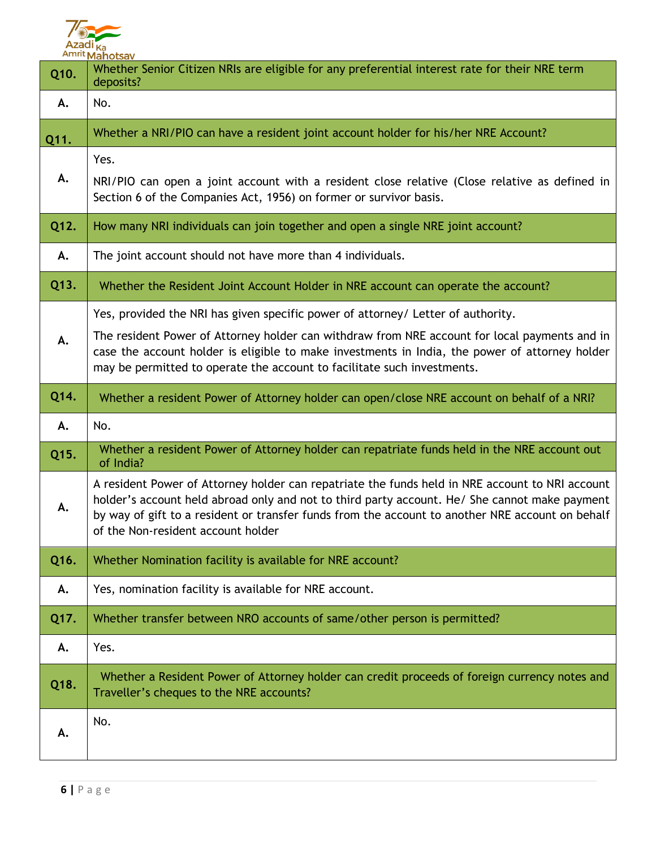

| Q10. | <b>Amrit Mahotsay</b><br>Whether Senior Citizen NRIs are eligible for any preferential interest rate for their NRE term<br>deposits?                                                                                                                                                                                                                           |
|------|----------------------------------------------------------------------------------------------------------------------------------------------------------------------------------------------------------------------------------------------------------------------------------------------------------------------------------------------------------------|
| А.   | No.                                                                                                                                                                                                                                                                                                                                                            |
| Q11. | Whether a NRI/PIO can have a resident joint account holder for his/her NRE Account?                                                                                                                                                                                                                                                                            |
| А.   | Yes.<br>NRI/PIO can open a joint account with a resident close relative (Close relative as defined in<br>Section 6 of the Companies Act, 1956) on former or survivor basis.                                                                                                                                                                                    |
| Q12. | How many NRI individuals can join together and open a single NRE joint account?                                                                                                                                                                                                                                                                                |
| А.   | The joint account should not have more than 4 individuals.                                                                                                                                                                                                                                                                                                     |
| Q13. | Whether the Resident Joint Account Holder in NRE account can operate the account?                                                                                                                                                                                                                                                                              |
| А.   | Yes, provided the NRI has given specific power of attorney/ Letter of authority.<br>The resident Power of Attorney holder can withdraw from NRE account for local payments and in<br>case the account holder is eligible to make investments in India, the power of attorney holder<br>may be permitted to operate the account to facilitate such investments. |
| Q14. | Whether a resident Power of Attorney holder can open/close NRE account on behalf of a NRI?                                                                                                                                                                                                                                                                     |
|      |                                                                                                                                                                                                                                                                                                                                                                |
| А.   | No.                                                                                                                                                                                                                                                                                                                                                            |
| Q15. | Whether a resident Power of Attorney holder can repatriate funds held in the NRE account out<br>of India?                                                                                                                                                                                                                                                      |
| А.   | A resident Power of Attorney holder can repatriate the funds held in NRE account to NRI account<br>holder's account held abroad only and not to third party account. He/ She cannot make payment<br>by way of gift to a resident or transfer funds from the account to another NRE account on behalf<br>of the Non-resident account holder                     |
| Q16. | Whether Nomination facility is available for NRE account?                                                                                                                                                                                                                                                                                                      |
| А.   | Yes, nomination facility is available for NRE account.                                                                                                                                                                                                                                                                                                         |
| Q17. | Whether transfer between NRO accounts of same/other person is permitted?                                                                                                                                                                                                                                                                                       |
| А.   | Yes.                                                                                                                                                                                                                                                                                                                                                           |
| Q18. | Whether a Resident Power of Attorney holder can credit proceeds of foreign currency notes and<br>Traveller's cheques to the NRE accounts?                                                                                                                                                                                                                      |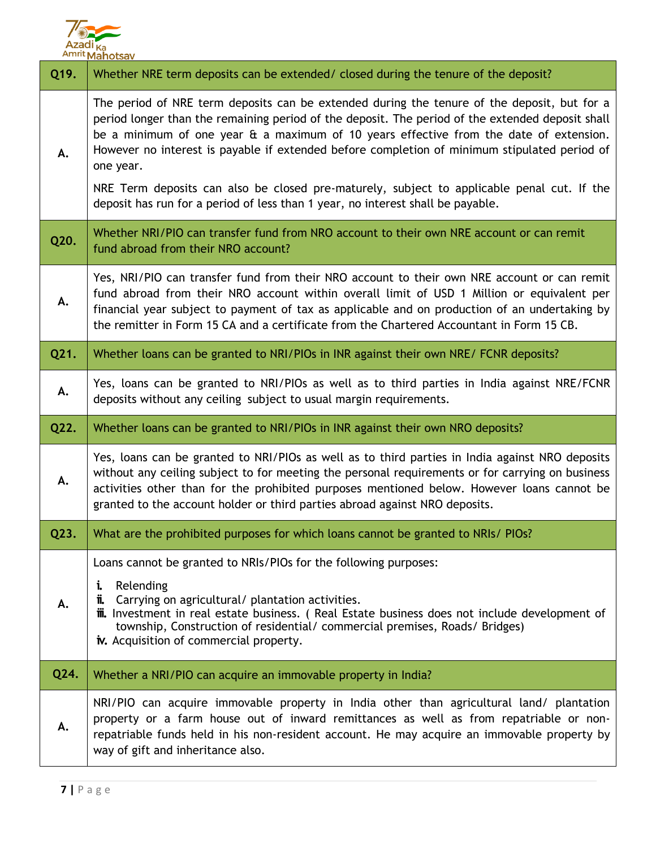

| Q19. | Whether NRE term deposits can be extended/ closed during the tenure of the deposit?                                                                                                                                                                                                                                                                                                                                                                                                                                                                                                     |
|------|-----------------------------------------------------------------------------------------------------------------------------------------------------------------------------------------------------------------------------------------------------------------------------------------------------------------------------------------------------------------------------------------------------------------------------------------------------------------------------------------------------------------------------------------------------------------------------------------|
| А.   | The period of NRE term deposits can be extended during the tenure of the deposit, but for a<br>period longer than the remaining period of the deposit. The period of the extended deposit shall<br>be a minimum of one year & a maximum of 10 years effective from the date of extension.<br>However no interest is payable if extended before completion of minimum stipulated period of<br>one year.<br>NRE Term deposits can also be closed pre-maturely, subject to applicable penal cut. If the<br>deposit has run for a period of less than 1 year, no interest shall be payable. |
| Q20. | Whether NRI/PIO can transfer fund from NRO account to their own NRE account or can remit<br>fund abroad from their NRO account?                                                                                                                                                                                                                                                                                                                                                                                                                                                         |
| А.   | Yes, NRI/PIO can transfer fund from their NRO account to their own NRE account or can remit<br>fund abroad from their NRO account within overall limit of USD 1 Million or equivalent per<br>financial year subject to payment of tax as applicable and on production of an undertaking by<br>the remitter in Form 15 CA and a certificate from the Chartered Accountant in Form 15 CB.                                                                                                                                                                                                 |
| Q21. | Whether loans can be granted to NRI/PIOs in INR against their own NRE/ FCNR deposits?                                                                                                                                                                                                                                                                                                                                                                                                                                                                                                   |
| А.   | Yes, loans can be granted to NRI/PIOs as well as to third parties in India against NRE/FCNR<br>deposits without any ceiling subject to usual margin requirements.                                                                                                                                                                                                                                                                                                                                                                                                                       |
|      |                                                                                                                                                                                                                                                                                                                                                                                                                                                                                                                                                                                         |
| Q22. | Whether loans can be granted to NRI/PIOs in INR against their own NRO deposits?                                                                                                                                                                                                                                                                                                                                                                                                                                                                                                         |
| А.   | Yes, loans can be granted to NRI/PIOs as well as to third parties in India against NRO deposits<br>without any ceiling subject to for meeting the personal requirements or for carrying on business<br>activities other than for the prohibited purposes mentioned below. However loans cannot be<br>granted to the account holder or third parties abroad against NRO deposits.                                                                                                                                                                                                        |
| Q23. | What are the prohibited purposes for which loans cannot be granted to NRIs/ PIOs?                                                                                                                                                                                                                                                                                                                                                                                                                                                                                                       |
| А.   | Loans cannot be granted to NRIs/PIOs for the following purposes:<br>Relending<br>i.<br>Carrying on agricultural/ plantation activities.<br>π.<br><b>iii.</b> Investment in real estate business. (Real Estate business does not include development of<br>township, Construction of residential/ commercial premises, Roads/ Bridges)<br>iv. Acquisition of commercial property.                                                                                                                                                                                                        |
| Q24. | Whether a NRI/PIO can acquire an immovable property in India?                                                                                                                                                                                                                                                                                                                                                                                                                                                                                                                           |